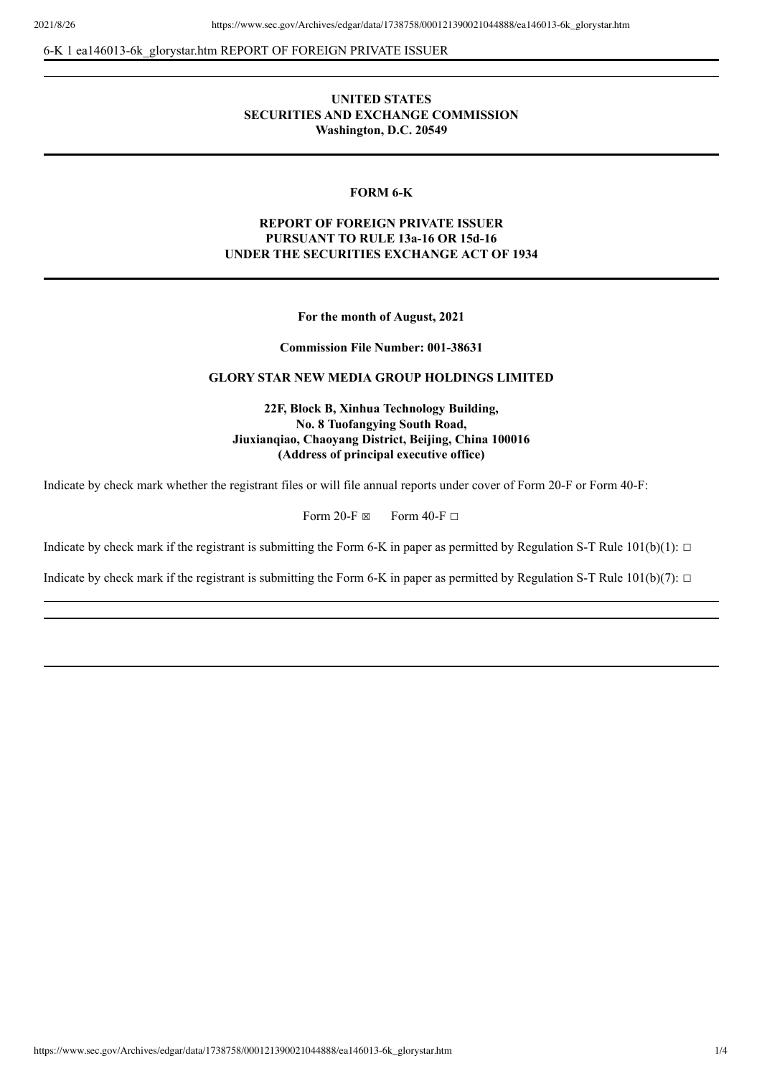6-K 1 ea146013-6k\_glorystar.htm REPORT OF FOREIGN PRIVATE ISSUER

# **UNITED STATES SECURITIES AND EXCHANGE COMMISSION Washington, D.C. 20549**

### **FORM 6-K**

# **REPORT OF FOREIGN PRIVATE ISSUER PURSUANT TO RULE 13a-16 OR 15d-16 UNDER THE SECURITIES EXCHANGE ACT OF 1934**

**For the month of August, 2021**

**Commission File Number: 001-38631**

### **GLORY STAR NEW MEDIA GROUP HOLDINGS LIMITED**

**22F, Block B, Xinhua Technology Building, No. 8 Tuofangying South Road, Jiuxianqiao, Chaoyang District, Beijing, China 100016 (Address of principal executive office)**

Indicate by check mark whether the registrant files or will file annual reports under cover of Form 20-F or Form 40-F:

Form 20-F  $\boxtimes$  Form 40-F  $\Box$ 

Indicate by check mark if the registrant is submitting the Form 6-K in paper as permitted by Regulation S-T Rule  $101(b)(1)$ :  $\Box$ 

Indicate by check mark if the registrant is submitting the Form 6-K in paper as permitted by Regulation S-T Rule  $101(b)(7)$ :  $\Box$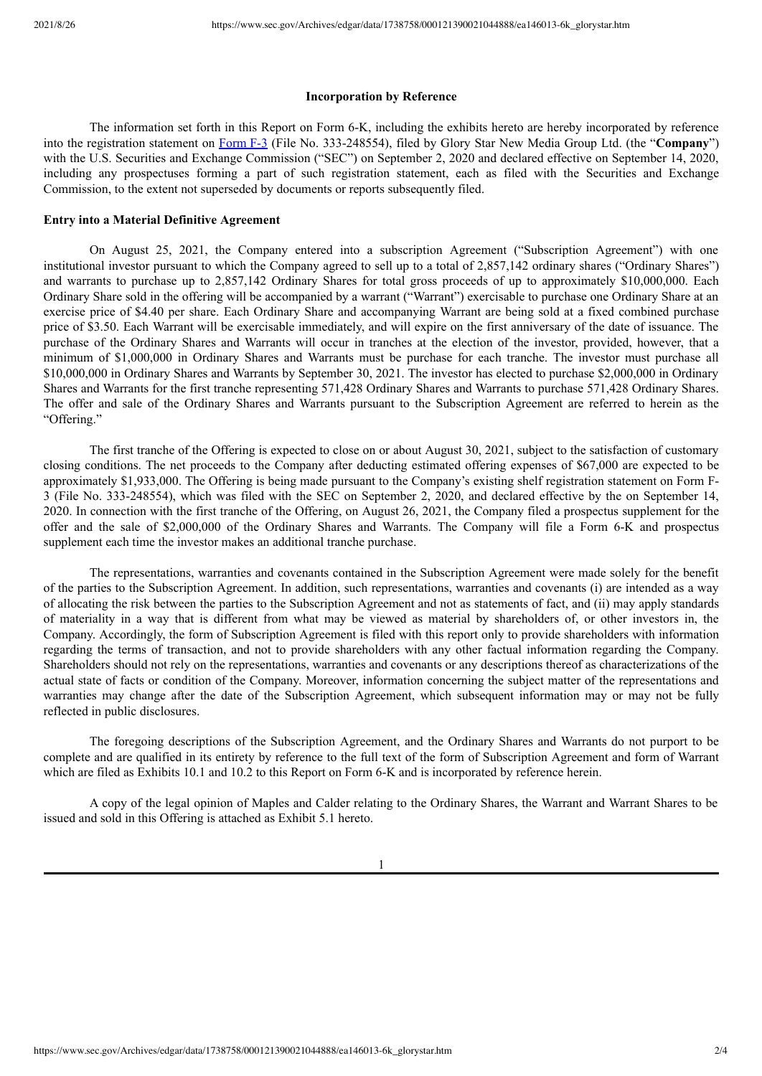#### **Incorporation by Reference**

The information set forth in this Report on Form 6-K, including the exhibits hereto are hereby incorporated by reference into the registration statement on [Form](https://www.sec.gov/Archives/edgar/data/1738758/000121390020025033/ea126257-f3_glorystar.htm) F-3 (File No. 333-248554), filed by Glory Star New Media Group Ltd. (the "**Company**") with the U.S. Securities and Exchange Commission ("SEC") on September 2, 2020 and declared effective on September 14, 2020, including any prospectuses forming a part of such registration statement, each as filed with the Securities and Exchange Commission, to the extent not superseded by documents or reports subsequently filed.

### **Entry into a Material Definitive Agreement**

On August 25, 2021, the Company entered into a subscription Agreement ("Subscription Agreement") with one institutional investor pursuant to which the Company agreed to sell up to a total of 2,857,142 ordinary shares ("Ordinary Shares") and warrants to purchase up to 2,857,142 Ordinary Shares for total gross proceeds of up to approximately \$10,000,000. Each Ordinary Share sold in the offering will be accompanied by a warrant ("Warrant") exercisable to purchase one Ordinary Share at an exercise price of \$4.40 per share. Each Ordinary Share and accompanying Warrant are being sold at a fixed combined purchase price of \$3.50. Each Warrant will be exercisable immediately, and will expire on the first anniversary of the date of issuance. The purchase of the Ordinary Shares and Warrants will occur in tranches at the election of the investor, provided, however, that a minimum of \$1,000,000 in Ordinary Shares and Warrants must be purchase for each tranche. The investor must purchase all \$10,000,000 in Ordinary Shares and Warrants by September 30, 2021. The investor has elected to purchase \$2,000,000 in Ordinary Shares and Warrants for the first tranche representing 571,428 Ordinary Shares and Warrants to purchase 571,428 Ordinary Shares. The offer and sale of the Ordinary Shares and Warrants pursuant to the Subscription Agreement are referred to herein as the "Offering."

The first tranche of the Offering is expected to close on or about August 30, 2021, subject to the satisfaction of customary closing conditions. The net proceeds to the Company after deducting estimated offering expenses of \$67,000 are expected to be approximately \$1,933,000. The Offering is being made pursuant to the Company's existing shelf registration statement on Form F-3 (File No. 333-248554), which was filed with the SEC on September 2, 2020, and declared effective by the on September 14, 2020. In connection with the first tranche of the Offering, on August 26, 2021, the Company filed a prospectus supplement for the offer and the sale of \$2,000,000 of the Ordinary Shares and Warrants. The Company will file a Form 6-K and prospectus supplement each time the investor makes an additional tranche purchase.

The representations, warranties and covenants contained in the Subscription Agreement were made solely for the benefit of the parties to the Subscription Agreement. In addition, such representations, warranties and covenants (i) are intended as a way of allocating the risk between the parties to the Subscription Agreement and not as statements of fact, and (ii) may apply standards of materiality in a way that is different from what may be viewed as material by shareholders of, or other investors in, the Company. Accordingly, the form of Subscription Agreement is filed with this report only to provide shareholders with information regarding the terms of transaction, and not to provide shareholders with any other factual information regarding the Company. Shareholders should not rely on the representations, warranties and covenants or any descriptions thereof as characterizations of the actual state of facts or condition of the Company. Moreover, information concerning the subject matter of the representations and warranties may change after the date of the Subscription Agreement, which subsequent information may or may not be fully reflected in public disclosures.

The foregoing descriptions of the Subscription Agreement, and the Ordinary Shares and Warrants do not purport to be complete and are qualified in its entirety by reference to the full text of the form of Subscription Agreement and form of Warrant which are filed as Exhibits 10.1 and 10.2 to this Report on Form 6-K and is incorporated by reference herein.

A copy of the legal opinion of Maples and Calder relating to the Ordinary Shares, the Warrant and Warrant Shares to be issued and sold in this Offering is attached as Exhibit 5.1 hereto.

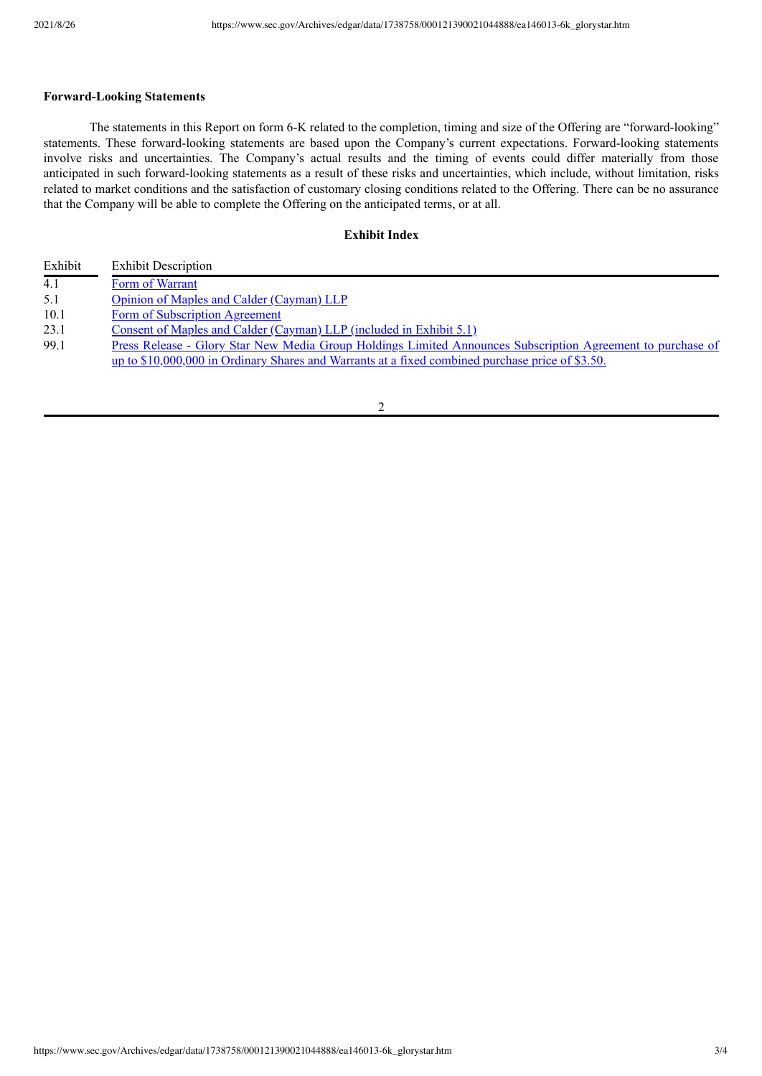### **Forward-Looking Statements**

The statements in this Report on form 6-K related to the completion, timing and size of the Offering are "forward-looking" statements. These forward-looking statements are based upon the Company's current expectations. Forward-looking statements involve risks and uncertainties. The Company's actual results and the timing of events could differ materially from those anticipated in such forward-looking statements as a result of these risks and uncertainties, which include, without limitation, risks related to market conditions and the satisfaction of customary closing conditions related to the Offering. There can be no assurance that the Company will be able to complete the Offering on the anticipated terms, or at all.

### **Exhibit Index**

| Exhibit | <b>Exhibit Description</b>                                                                                  |
|---------|-------------------------------------------------------------------------------------------------------------|
| 4.1     | Form of Warrant                                                                                             |
| 5.1     | Opinion of Maples and Calder (Cayman) LLP                                                                   |
| 10.1    | Form of Subscription Agreement                                                                              |
| 23.1    | <u>Consent of Maples and Calder (Cayman) LLP (included in Exhibit 5.1)</u>                                  |
| 99.1    | Press Release - Glory Star New Media Group Holdings Limited Announces Subscription Agreement to purchase of |
|         | up to \$10,000,000 in Ordinary Shares and Warrants at a fixed combined purchase price of \$3.50.            |
|         |                                                                                                             |